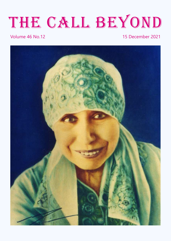# THE CALL BEYOND

#### Volume 46 No.12 15 December 2021

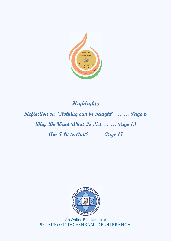

**Highlights Reflection on "Nothing can be Taught" … … Page 6 Why We Want What Is Not … … Page 13 Am I fit to Quit? … … Page 17**



An Online Publication of SRI AUROBINDO ASHRAM - DELHI BRANCH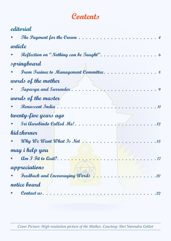# Contents

| editorial                                                                    |
|------------------------------------------------------------------------------|
| The Payment for the Crown $\ldots \ldots \ldots \ldots \ldots \ldots \ldots$ |
| article                                                                      |
|                                                                              |
| springboard                                                                  |
| From Trainee to Management Committee. $\ldots$ . 8                           |
| words of the mother                                                          |
| Japasya and Surrender                                                        |
| words of the master                                                          |
| Renascent India<br>$\overline{\mathbf{11}}$                                  |
| twenty-five years ago                                                        |
| Sri Aurobindo Called Me!<br>.<br>.12                                         |
| kidzkorner                                                                   |
| Why We Want What Is Not<br>13                                                |
| may i help you                                                               |
| Am I Fit to Quit?<br>.17                                                     |
| appreciations                                                                |
| Feedback and Encouraging Words<br>. 20                                       |
| notice board                                                                 |
| Contact us<br>. <i>. 22</i>                                                  |

Cover Picture: High resolution picture of the Mother, Courtesy: Shri Narendra Gehlot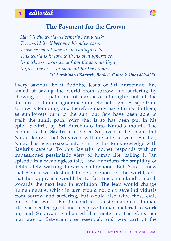![](_page_3_Picture_1.jpeg)

#### **The Payment for the Crown**

*Hard is the world-redeemer's heavy task; The world itself becomes his adversary, Those he would save are his antagonists: This world is in love with his own ignorance, Its darkness turns away from the saviour light, It gives the cross in payment for the crown. Sri Aurobindo ('Savitri', Book 6, Canto 2, lines 400-405)*

Every saviour, be it Buddha, Jesus or Sri Aurobindo, has aimed at saving the world from sorrow and suffering by showing it a path out of darkness into light; out of the darkness of human ignorance into eternal Light. Escape from sorrow is tempting, and therefore many have turned to them, as sunflowers turn to the sun, but few have been able to walk the sunlit path. Why that is so has been put in his epic, 'Savitri', by Sri Aurobindo into Narad's mouth. The context is that Savitri has chosen Satyavan as her mate, but Narad knows that Satyavan will die after a year. Further, Narad has been coaxed into sharing this foreknowledge with Savitri's parents. To this Savitri's mother responds with an impassioned pessimistic view of human life, calling it "an episode in a meaningless tale," and questions the stupidity of deliberately walking towards widowhood. But Narad knew that Savitri was destined to be a saviour of the world, and that her approach would be to fast-track mankind's march towards the next leap in evolution. The leap would change human nature, which in turn would not only save individuals from sorrow and suffering, but would also wipe these evils out of the world. For this radical transformation of human life, she needed good and receptive human material to work on, and Satyavan symbolised that material. Therefore, her marriage to Satyavan was essential, and was part of the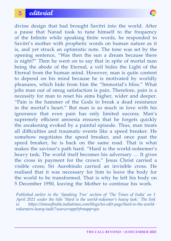#### 5 **editorial**

![](_page_4_Picture_1.jpeg)

divine design that had brought Savitri into the world. After a pause that Narad took to tune himself to the frequency of the Infinite while speaking finite words, he responded to Savitri's mother with prophetic words on human nature as it is, and yet struck an optimistic note. The tone was set by the opening sentence, "Was then the sun a dream because there is night?" Then he went on to say that in spite of mortal man being the abode of the Eternal, a veil hides the Light of the Eternal from the human mind. However, man is quite content to depend on his mind because he is motivated by worldly pleasures, which hide from him the "Immortal's bliss." What jolts man out of smug satisfaction is pain. Therefore, pain is a necessity for man to reset his aims higher, wider and deeper. "Pain is the hammer of the Gods to break a dead resistance in the mortal's heart." But man is so much in love with his ignorance that even pain has only limited success. Man's supremely efficient amnesia ensures that he forgets quickly the awakening evoked by a painful episode. Thus, man treats all difficulties and traumatic events like a speed breaker. He somehow negotiates the speed breaker, and once past the speed breaker, he is back on the same road. That is what makes the saviour's path hard. "Hard is the world-redeemer's heavy task; The world itself becomes his adversary … It gives the cross in payment for the crown." Jesus Christ carried a visible cross; Sri Aurobindo carried an invisible cross. He realised that it was necessary for him to leave the body for the world to be transformed. That is why he left his body on 5 December 1950, leaving the Mother to continue his work.

*Published earlier in the 'Speaking Tree' section of 'The Times of India' on 1 April 2021 under the title 'Hard is the world-redeemer's heavy task.' The link is: https://timesofindia.indiatimes.com/blogs/toi-edit-page/hard-is-the-worldredeemers-heavy-task/?source=app&frmapp=yes*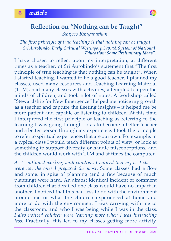![](_page_5_Picture_1.jpeg)

#### **Reflection on "Nothing can be Taught"** *Sanjeev Ranganathan*

*The first principle of true teaching is that nothing can be taught. Sri Aurobindo. Early Cultural Writings, p.379, "A System of National Education: Some Preliminary Ideas".*

I have chosen to reflect upon my interpretation, at different times as a teacher, of Sri Aurobindo's statement that "The first principle of true teaching is that nothing can be taught". When I started teaching, I wanted to be a good teacher. I planned my classes, used many resources and Teaching Learning Material (TLM), had many classes with activities, attempted to open the minds of children, and took a lot of notes. A workshop called "Stewardship for New Emergence" helped me notice my growth as a teacher and capture the fleeting insights – it helped me be more patient and capable of listening to children. At this time, I interpreted the first principle of teaching as referring to the learning I was going through so as to become a better teacher and a better person through my experience. I took the principle to refer to spiritual experiences that are our own. For example, in a typical class I would teach different points of view, or look at something to support diversity or handle misconceptions, and the children would work with TLM and at times the computer.

*As I continued working with children, I noticed that my best classes were not the ones I prepared the most*. Some classes had a flow and some, in spite of planning (and a few because of much planning) were hard. An almost identical incident or comment from children that derailed one class would have no impact in another. I noticed that this had less to do with the environment around me or what the children experienced at home and more to do with the environment I was carrying with me to the classroom, and who I was being while I was in the class. *I also noticed children were learning more when I was instructing less.* Practically, this led to my classes getting more activity-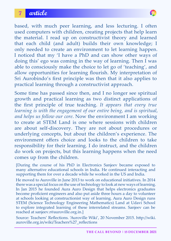#### 7 **article**

![](_page_6_Picture_1.jpeg)

based, with much peer learning, and less lecturing. I often used computers with children, creating projects that help learn the material. I read up on constructivist theory and learned that each child (and adult) builds their own knowledge; I only needed to create an environment to let learning happen. I noticed that my 'I have a PhD and can show other ways of doing this' ego was coming in the way of learning. Then I was able to consciously make the choice to let go of 'teaching', and allow opportunities for learning flourish. My interpretation of Sri Aurobindo's first principle was then that it also applies to practical learning through a constructivist approach.

Some time has passed since then, and I no longer see spiritual growth and practical learning as two distinct applications of the first principle of true teaching. *It appears that every true learning is with the engagement of our entire being, and is spiritual, and helps us follow our core*. Now the environment I am working to create at STEM Land is one where sessions with children are about self-discovery. They are not about procedures or underlying concepts, but about the children's experience. The environment offers choice and looks to the children to take responsibility for their learning. I do instruct, and the children do work on projects, but this learning happens when the need comes up from the children.

[During the course of his PhD in Electronics Sanjeev became exposed to many alternative educational schools in India. He continued interacting and supporting them for over a decade while he worked in the US and India.

He moved to Auroville in June 2013 to work on educational initiatives. In 2014 there was a special focus on the use of technology to look at new ways of learning. In Jan 2015 he founded Aura Auro Design that helps electronics graduates become proficient engineers and also put aside three hours a day to volunteer at schools looking at constructionist way of learning. Aura Auro Design runs STEM (Science Technology Engineering Mathematics) Land at Udavi School to explore integrated learning of these interrelated streams. Sanjeev can be reached at sanjeev.r@auroville.org.in.]

Source: Teachers' Reflections. 'Auroville Wiki', 20 November 2015. http://wiki. auroville.org.in/wiki/Teachers%27\_reflections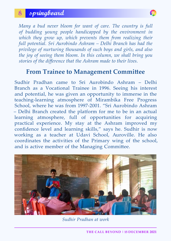![](_page_7_Picture_1.jpeg)

*Many a bud never bloom for want of care. The country is full of budding young people handicapped by the environment in*  which they grow up, which prevents them from realizing their *full potential. Sri Aurobindo Ashram – Delhi Branch has had the privilege of nurturing thousands of such boys and girls, and also the joy of seeing them bloom. In this column, we shall bring you stories of the difference that the Ashram made to their lives.* 

#### **From Trainee to Management Committee**

Sudhir Pradhan came to Sri Aurobindo Ashram – Delhi Branch as a Vocational Trainee in 1996. Seeing his interest and potential, he was given an opportunity to immerse in the teaching-learning atmosphere of Mirambika Free Progress School, where he was from 1997-2001. "Sri Aurobindo Ashram – Delhi Branch created the platform for me to be in an actual learning atmosphere, full of opportunities for acquiring practical experience. My stay at the Ashram improved my confidence level and learning skills," says he. Sudhir is now working as a teacher at Udavi School, Auroville. He also coordinates the activities of the Primary wing of the school, and is active member of the Managing Committee.

![](_page_7_Picture_5.jpeg)

*Sudhir Pradhan at work*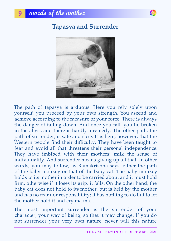![](_page_8_Picture_1.jpeg)

#### **Tapasya and Surrender**

![](_page_8_Picture_3.jpeg)

The path of tapasya is arduous. Here you rely solely upon yourself, you proceed by your own strength. You ascend and achieve according to the measure of your force. There is always the danger of falling down. And once you fall, you lie broken in the abyss and there is hardly a remedy. The other path, the path of surrender, is safe and sure. It is here, however, that the Western people find their difficulty. They have been taught to fear and avoid all that threatens their personal independence. They have imbibed with their mothers' milk the sense of individuality. And surrender means giving up all that. In other words, you may follow, as Ramakrishna says, either the path of the baby monkey or that of the baby cat. The baby monkey holds to its mother in order to be carried about and it must hold firm, otherwise if it loses its grip, it falls. On the other hand, the baby cat does not hold to its mother, but is held by the mother and has no fear nor responsibility; it has nothing to do but to let the mother hold it and cry ma ma. … …

The most important surrender is the surrender of your character, your way of being, so that it may change. If you do not surrender your very own nature, never will this nature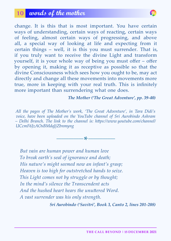#### 10 **words of the mother**

![](_page_9_Picture_1.jpeg)

change. It is this that is most important. You have certain ways of understanding, certain ways of reacting, certain ways of feeling, almost certain ways of progressing, and above all, a special way of looking at life and expecting from it certain things – well, it is this you must surrender. That is, if you truly want to receive the divine Light and transform yourself, it is your whole way of being you must offer – offer by opening it, making it as receptive as possible so that the divine Consciousness which sees how you ought to be, may act directly and change all these movements into movements more true, more in keeping with your real truth. This is infinitely more important than surrendering what one does.

#### *The Mother ('The Great Adventure', pp. 39-40)*

*All the pages of The Mother's work, 'The Great Adventure', in Tara Didi's voice, have been uploaded on the YouTube channel of Sri Aurobindo Ashram – Delhi Branch. The link to the channel is: https://www.youtube.com/channel/ UCcmF6JzAOsBMdqJjZbnmyng*

> *\_\_\_\_\_\_\_\_\_\_\_\* \_\_\_\_\_\_\_\_\_\_\_*

*But vain are human power and human love To break earth's seal of ignorance and death; His nature's might seemed now an infant's grasp; Heaven is too high for outstretched hands to seize. This Light comes not by struggle or by thought; In the mind's silence the Transcendent acts And the hushed heart hears the unuttered Word. A vast surrender was his only strength.*

*Sri Aurobindo ('Savitri', Book 3, Canto 2, lines 201-208)*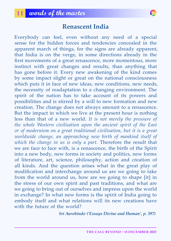![](_page_10_Picture_1.jpeg)

#### **Renascent India**

Everybody can feel, even without any need of a special sense for the hidden forces and tendencies concealed in the apparent march of things, for the signs are already apparent, that India is on the verge, in some directions already in the first movements of a great renascence, more momentous, more instinct with great changes and results, than anything that has gone before it. Every new awakening of the kind comes by some impact slight or great on the national consciousness which puts it in face of new ideas, new conditions, new needs, the necessity of readaptation to a changing environment. The spirit of the nation has to take account of its powers and possibilities and is stirred by a will to new formation and new creation. The change does not always amount to a renascence. But the impact in which we live at the present hour is nothing less than that of a new world. *It is not merely the pressure of the whole Western civilisation upon the ancient spirit of the East or of modernism on a great traditional civilisation, but it is a great worldwide change, an approaching new birth of mankind itself of which the change in us is only a part.* Therefore the result that we are face to face with, is a renascence, the birth of the Spirit into a new body, new forms in society and politics, new forms of literature, art, science, philosophy, action and creation of all kinds. And the question arises what in the great play of modification and interchange around us are we going to take from the world around us, how are we going to shape [it] in the stress of our own spirit and past traditions, and what are we going to bring out of ourselves and impress upon the world in exchange? In what new forms is the spirit of India going to embody itself and what relations will its new creations have with the future of the world?

*Sri Aurobindo ('Essays Divine and Human', p. 397)*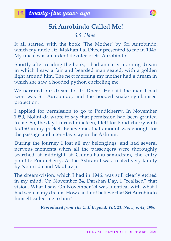![](_page_11_Picture_1.jpeg)

#### **Sri Aurobindo Called Me!**

*S.S. Hans*

It all started with the book 'The Mother' by Sri Aurobindo, which my uncle Dr. Makhan Lal Dheer presented to me in 1946. My uncle was an ardent devotee of Sri Aurobindo.

Shortly after reading the book, I had an early morning dream in which I saw a fair and bearded man seated, with a golden light around him. The next morning my mother had a dream in which she saw a hooded python encircling me.

We narrated our dream to Dr. Dheer. He said the man I had seen was Sri Aurobindo, and the hooded snake symbolised protection.

I applied for permission to go to Pondicherry. In November 1950, Nolini-da wrote to say that permission had been granted to me. So, the day I turned nineteen, I left for Pondicherry with Rs.150 in my pocket. Believe me, that amount was enough for the passage and a ten-day stay in the Ashram.

During the journey I lost all my belongings, and had several nervous moments when all the passengers were thoroughly searched at midnight at Chinna-bahu-samudram, the entry point to Pondicherry. At the Ashram I was treated very kindly by Nolini-da and Madhav ji.

The dream-vision, which I had in 1946, was still clearly etched in my mind. On November 24, Darshan Day, I "realised" that vision. What I saw On November 24 was identical with what I had seen in my dream. How can I not believe that Sri Aurobindo himself called me to him?

*Reproduced from The Call Beyond, Vol. 21, No. 3, p. 42, 1996*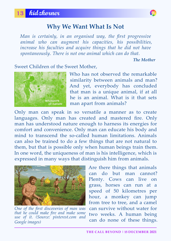![](_page_12_Picture_1.jpeg)

#### **Why We Want What Is Not**

*Man is certainly, in an organised way, the first progressive animal who can augment his capacities, his possibilities, increase his faculties and acquire things that he did not have spontaneously. There is not one animal which can do that.*

*The Mother*

#### Sweet Children of the Sweet Mother,

![](_page_12_Picture_6.jpeg)

Who has not observed the remarkable similarity between animals and man? And yet, everybody has concluded that man is a unique animal, if at all he is an animal. What is it that sets man apart from animals?

Only man can speak in so versatile a manner as to create languages. Only man has created and mastered fire. Only man has understood nature enough to harness its energies for comfort and convenience. Only man can educate his body and mind to transcend the so-called human limitations. Animals can also be trained to do a few things that are not natural to them, but that is possible only when human beings train them. In one word, the uniqueness of man is his intelligence, which is expressed in many ways that distinguish him from animals.

![](_page_12_Picture_9.jpeg)

*One of the first discoveries of man was that he could make fire and make some use of it. (Source: pinterest.com and Google images)*

Are there things that animals can do but man cannot? Plenty. Cows can live on grass, horses can run at a speed of 50 kilometres per hour, a monkey can jump from tree to tree, and a camel can survive without water for two weeks. A human being can do none of these things.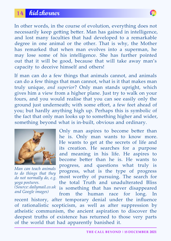#### 14 **kidzkorner**

![](_page_13_Picture_1.jpeg)

In other words, in the course of evolution, everything does not necessarily keep getting better. Man has gained in intelligence, and lost many faculties that had developed to a remarkable degree in one animal or the other. That is why, the Mother has remarked that when man evolves into a superman, he may lose some of his intelligence. She has further pointed out that it will be good, because that will take away man's capacity to deceive himself and others!

If man can do a few things that animals cannot, and animals can do a few things that man cannot, what is it that makes man truly unique, *and superior*? Only man stands upright, which gives him a view from a higher plane. Just try to walk on your fours, and you would realise that you can see easily only the ground just underneath; with some effort, a few feet ahead of you; but hardly anything high up. Perhaps this is symbolic of the fact that only man looks up to something higher and wider, something beyond what is in-built, obvious and ordinary.

![](_page_13_Picture_4.jpeg)

*Man can teach animals to do things that they do not normally do, e.g. yoga postures. (Source: dailymail.co.uk and Google images)*

Only man aspires to become better than he is. Only man wants to know more. He wants to get at the secrets of life and its creation. He searches for a purpose and meaning in his life. He aspires to become better than he is. He wants to progress, and questions what truly is progress, what is the type of progress most worthy of pursuing. The search for the total Truth and unadulterated Bliss is something that has never disappeared from the human race for long. In

recent history, after temporary denial under the influence of rationalistic scepticism, as well as after suppression by atheistic communism, the ancient aspiration to discover the deepest truths of existence has returned to those very parts of the world that had apparently banished it.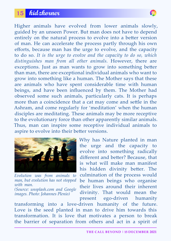#### 15 **kidzkorner**

![](_page_14_Picture_1.jpeg)

Higher animals have evolved from lower animals slowly, guided by an unseen Power. But man does not have to depend entirely on the natural process to evolve into a better version of man. He can accelerate the process partly through his own efforts, because man has the urge to evolve, and the capacity to do so. *It is the urge to evolve and the capacity to do so, which distinguishes man from all other animals.* However, there are exceptions. Just as man wants to grow into something better than man, there are exceptional individual animals who want to grow into something like a human. The Mother says that these are animals who have spent considerable time with human beings, and have been influenced by them. The Mother had observed some such animals, particularly cats. It is perhaps more than a coincidence that a cat may come and settle in the Ashram, and come regularly for 'meditation' when the human disciples are meditating. These animals may be more receptive to the evolutionary force than other apparently similar animals. Thus, man can inspire some receptive individual animals to aspire to evolve into their better versions.

![](_page_14_Picture_3.jpeg)

*Evolution was from animals to man, but evolution has not stopped with man. (Source: unsplash.com and Google images. Photo: Johannes Plenio)*

Why has Nature planted in man the urge and the capacity to evolve into something radically different and better? Because, that is what will make man manifest his hidden divinity better. The culmination of the process would be human beings who organise their lives around their inherent divinity. That would mean the present ego-driven humanity

transforming into a love-driven humanity of the future. Love is the seed planted in man to drive him towards this transformation. It is love that motivates a person to break the barrier of separation from others and act in a spirit of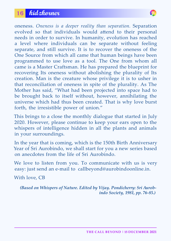#### 16 **kidzkorner**

![](_page_15_Picture_1.jpeg)

oneness. *Oneness is a deeper reality than separation.* Separation evolved so that individuals would attend to their personal needs in order to survive. In humanity, evolution has reached a level where individuals can be separate without feeling separate, and still survive. It is to recover the oneness of the One Source from which all came that human beings have been programmed to use love as a tool. The One from whom all came is a Master Craftsman. He has prepared the blueprint for recovering Its oneness without abolishing the plurality of Its creation. Man is the creature whose privilege it is to usher in that reconciliation of oneness in spite of the plurality. As The Mother has said, "What had been projected into space had to be brought back to itself without, however, annihilating the universe which had thus been created. That is why love burst forth, the irresistible power of union."

This brings to a close the monthly dialogue that started in July 2020. However, please continue to keep your ears open to the whispers of intelligence hidden in all the plants and animals in your surroundings.

In the year that is coming, which is the 150th Birth Anniversary Year of Sri Aurobindo, we shall start for you a new series based on anecdotes from the life of Sri Aurobindo.

We love to listen from you. To communicate with us is very easy: just send an e-mail to callbeyond@aurobindoonline.in.

With love, CB

*(Based on Whispers of Nature. Edited by Vijay. Pondicherry: Sri Aurobindo Society, 1981, pp. 76-85.)*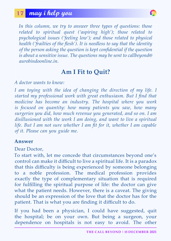#### 17 **may i help you**

![](_page_16_Picture_1.jpeg)

*In this column, we try to answer three types of questions: those related to spiritual quest ('aspiring high'); those related to psychological issues ('feeling low'); and those related to physical health ('frailties of the flesh'). It is needless to say that the identity of the person asking the question is kept confidential if the question is about a sensitive issue. The questions may be sent to callbeyond@ aurobindoonline.in.*

#### **Am I Fit to Quit?**

*A doctor wants to know:*

*I am toying with the idea of changing the direction of my life. I started my professional work with great enthusiasm. But I find that medicine has become an industry. The hospital where you work is focused on quantity: how many patients you saw, how many surgeries you did, how much revenue you generated, and so on. I am disillusioned with the work I am doing, and want to live a spiritual life. But I am not sure whether I am fit for it, whether I am capable of it. Please can you guide me.*

#### **answer**

Dear Doctor,

To start with, let me concede that circumstances beyond one's control can make it difficult to live a spiritual life. It is a paradox that this difficulty is being experienced by someone belonging to a noble profession. The medical profession provides exactly the type of complementary situation that is required for fulfilling the spiritual purpose of life: the doctor can give what the patient needs. However, there is a caveat. The giving should be an expression of the love that the doctor has for the patient. That is what you are finding it difficult to do.

If you had been a physician, I could have suggested, quit the hospital; be on your own. But being a surgeon, your dependence on hospitals is not easy to avoid. The other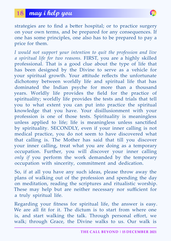![](_page_17_Picture_1.jpeg)

strategies are to find a better hospital; or to practice surgery on your own terms, and be prepared for any consequences. If one has some principles, one also has to be prepared to pay a price for them.

*I would not support your intention to quit the profession and live a spiritual life for two reasons.* FIRST, you are a highly skilled professional. That is a good clue about the type of life that has been designed by the Divine to serve as a vehicle for your spiritual growth. Your attitude reflects the unfortunate dichotomy between worldly life and spiritual life that has dominated the Indian psyche for more than a thousand years. Worldly life provides the field for the practice of spirituality; worldly life provides the tests and trials that tell you to what extent you can put into practice the spiritual knowledge that you have. Your disillusionment with your profession is one of those tests. Spirituality is meaningless unless applied to life; life is meaningless unless sanctified by spirituality. SECONDLY, even if your inner calling is not medical practice, you do not seem to have discovered what that calling is. The Mother has said that till you discover your inner calling, treat what you are doing as a temporary occupation. Further, you will discover your inner calling *only if* you perform the work demanded by the temporary occupation with sincerity, commitment and dedication.

So, if at all you have any such ideas, please throw away the plans of walking out of the profession and spending the day on meditation, reading the scriptures and ritualistic worship. These may help but are neither necessary nor sufficient for a truly spiritual life.

Regarding your fitness for spiritual life, the answer is easy. We are all fit for it. The dictum is to start from where one is, and start walking the talk. Through personal effort, we walk; through Grace, the Divine walks to us. Our walk is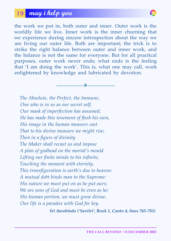#### 19 **may i help you**

![](_page_18_Picture_1.jpeg)

the work we put in, both outer and inner. Outer work is the worldly life we live. Inner work is the inner churning that we experience during sincere introspection about the way we are living our outer life. Both are important; the trick is to strike the right balance between outer and inner work, and the balance is not the same for everyone. But for all practical purposes, outer work never ends; what ends is the feeling that 'I am doing the work'. This is, what one may call, work enlightened by knowledge and lubricated by devotion.

*\_\_\_\_\_\_\_\_\_\_\_*

*The Absolute, the Perfect, the Immune, One who is in us as our secret self, Our mask of imperfection has assumed, He has made this tenement of flesh his own, His image in the human measure cast That to his divine measure we might rise; Then in a figure of divinity The Maker shall recast us and impose A plan of godhead on the mortal's mould Lifting our finite minds to his infinite, Touching the moment with eternity. This transfiguration is earth's due to heaven: A mutual debt binds man to the Supreme: His nature we must put on as he put ours; We are sons of God and must be even as he: His human portion, we must grow divine. Our life is a paradox with God for key.*

*\_\_\_\_\_\_\_\_\_\_\_\**

*Sri Aurobindo ('Savitri', Book 1, Canto 4, lines 765-781)*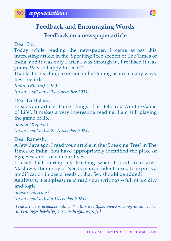![](_page_19_Picture_1.jpeg)

### **Feedback and Encouraging Words**

**Feedback on a newspaper article**

Dear Sir,

Today while reading the newspaper, I came across this interesting article in the Speaking Tree section of The Times of India, and it was only I after I was through it , I realised it was yours. Was so happy to see it!!

Thanks for reaching to us and enlightening us in so many ways. Best regards

*Renu (Bhatia) (Dr.) (in an email dated 24 November 2021)*

Dear Dr Bijlani,

I read your article 'Three Things That Help You Win the Game of Life'. It makes a very interesting reading. I am still playing the game of life.

*Shama (Kapoor)*

*(in an email dated 25 November 2021)*

Dear Ramesh,

A few days ago, I read your article in the 'Speaking Tree' in The Times of India. You have appropriately identified the place of Ego, Sex, and Love in our lives.

I recall that during my teaching when I used to discuss Maslow's Hierarchy of Needs many students used to express a modification in basic needs ... that Sex should be added!

As always, it is a pleasure to read your writings -- full of lucidity and logic.

*Shashi (Sharma)*

*(in an email dated 5 December 2021)*

*[The article is available online. The link is: https://www.speakingtree.in/article/ three-things-that-help-you-win-the-game-of-life ]*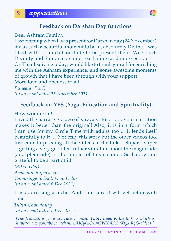![](_page_20_Picture_1.jpeg)

#### **Feedback on Darshan Day functions**

Dear Ashram Family,

Last evening when I was present for Darshan day (24 November), it was such a beautiful moment to be in, absolutely Divine. I was filled with so much Gratitude to be present there. Wish such Divinity and Simplicity could reach more and more people. On Thanksgiving today, would like to thank you all for enriching me with the Ashram experience, and some awesome moments of growth that I have been through with your support. More love and oneness to all.

*Puneeta (Puri) (in an email dated 25 November 2021)*

#### **Feedback on YES (Yoga, Education and Spirituality)**

How wonderful!!

Loved the narrative video of Kavya's story ... … your narration makes it better than the original! Also, it is in a form which I can use for my Circle Time with adults too ... it lends itself beautifully to it … Not only this story but the other videos too. Just ended up seeing all the videos in the link ... Super... super ... getting a very good feel rather vibration about the magnitude (and plenitude) of the impact of this channel. So happy and grateful to be a part of it!

*Mithu (Pal) Academic Supervisor Cambridge School, New Delhi (in an email dated 6 Dec 2021)*

It is addressing a niche. And I am sure it will get better with time.

*Tuhin Chowdhury (in an email dated 7 Dec 2021)*

*[The feedback is for a YouTube channel, YESpirituality, the link to which is: https://www.youtube.com/channel/UCy0kOAmEWXqLKLuKtyxfRgQ/videos ]*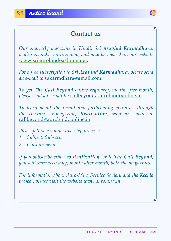뎊

![](_page_21_Picture_1.jpeg)

#### **Contact us**

*Our quarterly magazine in Hindi, Sri Aravind Karmadhara, is also available on-line now, and may be viewed on our website*  www.sriaurobindoashram.net*.*

*For a free subscription to Sri Aravind Karmadhara, please send an e-mail to* sakarmdhara@gmail.com

*To get The Call Beyond online regularly, month after month, please send an e-mail to:* callbeyond@aurobindoonline.in

*To learn about the recent and forthcoming activities through the Ashram's e-magazine, Realization, send an email to:*  callbeyond@aurobindoonline.in

*Please follow a simple two-step process:*

- *1. Subject: Subscribe*
- *2. Click on Send*

*If you subscribe either to Realization, or to The Call Beyond, you will start receiving, month after month, both the magazines.*

*For information about Auro-Mira Service Society and the Kechla project, please visit the website www.auromira.in*